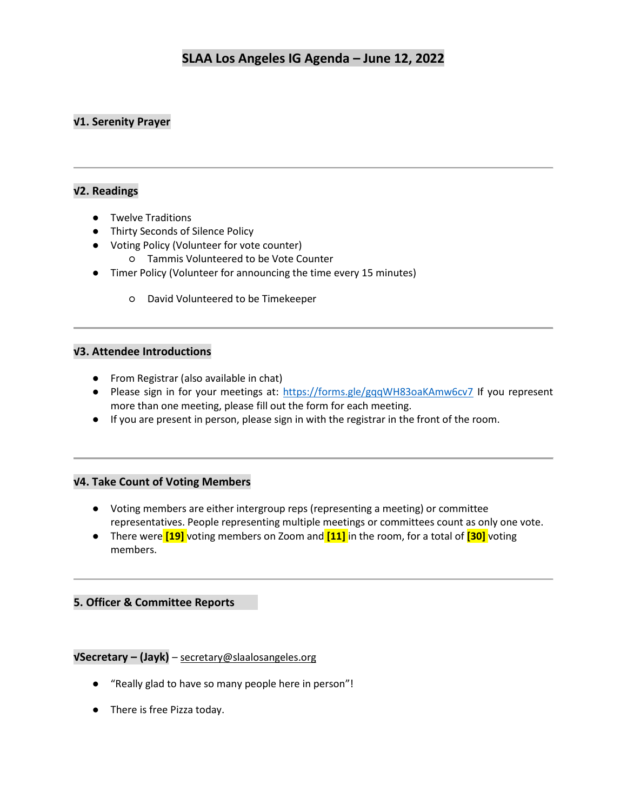## **√1. Serenity Prayer**

## **√2. Readings**

- Twelve Traditions
- Thirty Seconds of Silence Policy
- Voting Policy (Volunteer for vote counter)
	- Tammis Volunteered to be Vote Counter
- Timer Policy (Volunteer for announcing the time every 15 minutes)
	- David Volunteered to be Timekeeper

#### **√3. Attendee Introductions**

- From Registrar (also available in chat)
- Please sign in for your meetings at:<https://forms.gle/gqqWH83oaKAmw6cv7> If you represent more than one meeting, please fill out the form for each meeting.
- If you are present in person, please sign in with the registrar in the front of the room.

#### **√4. Take Count of Voting Members**

- Voting members are either intergroup reps (representing a meeting) or committee representatives. People representing multiple meetings or committees count as only one vote.
- There were **[19]** voting members on Zoom and **[11]** in the room, for a total of **[30]** voting members.

## **5. Officer & Committee Reports**

## **√Secretary – (Jayk)** – [secretary@slaalosangeles.org](mailto:secretary@slaalosangeles.org)

- "Really glad to have so many people here in person"!
- There is free Pizza today.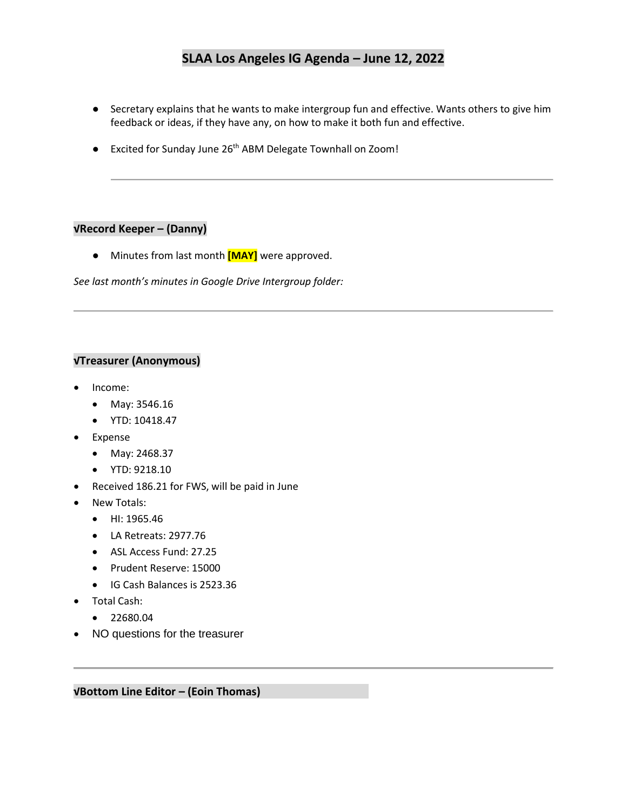- Secretary explains that he wants to make intergroup fun and effective. Wants others to give him feedback or ideas, if they have any, on how to make it both fun and effective.
- Excited for Sunday June 26<sup>th</sup> ABM Delegate Townhall on Zoom!

## **√Record Keeper – (Danny)**

● Minutes from last month **[MAY]** were approved.

*See last month's minutes in Google Drive Intergroup folder:* 

## **√Treasurer (Anonymous)**

- Income:
	- May: 3546.16
	- YTD: 10418.47
- **Expense** 
	- May: 2468.37
	- YTD: 9218.10
- Received 186.21 for FWS, will be paid in June
- New Totals:
	- HI: 1965.46
	- LA Retreats: 2977.76
	- ASL Access Fund: 27.25
	- Prudent Reserve: 15000
	- IG Cash Balances is 2523.36
- Total Cash:
	- 22680.04
- NO questions for the treasurer

**√Bottom Line Editor – (Eoin Thomas)**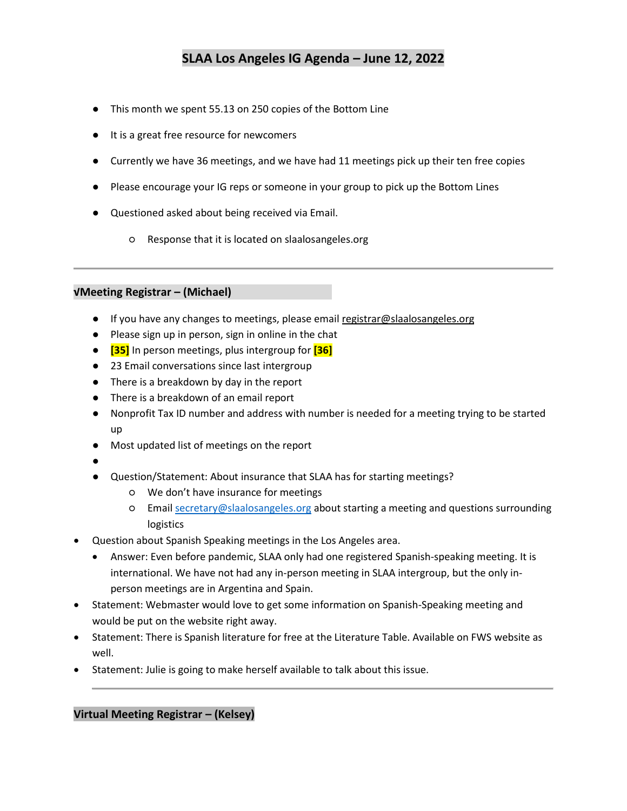- This month we spent 55.13 on 250 copies of the Bottom Line
- It is a great free resource for newcomers
- Currently we have 36 meetings, and we have had 11 meetings pick up their ten free copies
- Please encourage your IG reps or someone in your group to pick up the Bottom Lines
- Questioned asked about being received via Email.
	- Response that it is located on slaalosangeles.org

#### **√Meeting Registrar – (Michael)**

- If you have any changes to meetings, please email [registrar@slaalosangeles.org](mailto:registrar@slaalosangeles.org)
- Please sign up in person, sign in online in the chat
- **[35]** In person meetings, plus intergroup for **[36]**
- 23 Email conversations since last intergroup
- There is a breakdown by day in the report
- There is a breakdown of an email report
- Nonprofit Tax ID number and address with number is needed for a meeting trying to be started up
- Most updated list of meetings on the report
- ●
- Question/Statement: About insurance that SLAA has for starting meetings?
	- We don't have insurance for meetings
	- Email [secretary@slaalosangeles.org](mailto:secretary@slaalosangeles.org) about starting a meeting and questions surrounding logistics
- Question about Spanish Speaking meetings in the Los Angeles area.
	- Answer: Even before pandemic, SLAA only had one registered Spanish-speaking meeting. It is international. We have not had any in-person meeting in SLAA intergroup, but the only inperson meetings are in Argentina and Spain.
- Statement: Webmaster would love to get some information on Spanish-Speaking meeting and would be put on the website right away.
- Statement: There is Spanish literature for free at the Literature Table. Available on FWS website as well.
- Statement: Julie is going to make herself available to talk about this issue.

**Virtual Meeting Registrar – (Kelsey)**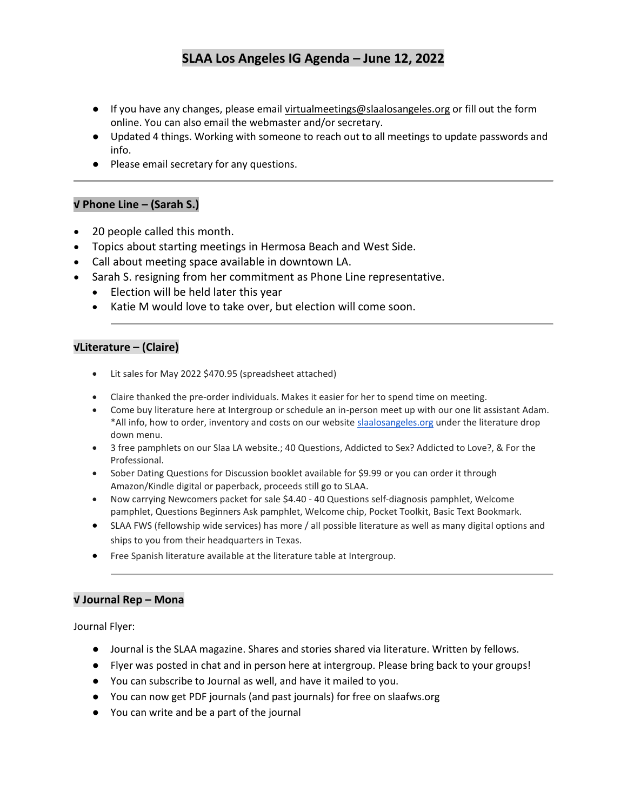- If you have any changes, please email [virtualmeetings@slaalosangeles.org](mailto:virtualmeetings@slaalosangeles.org) or fill out the form online. You can also email the webmaster and/or secretary.
- Updated 4 things. Working with someone to reach out to all meetings to update passwords and info.
- Please email secretary for any questions.

#### **√ Phone Line – (Sarah S.)**

- 20 people called this month.
- Topics about starting meetings in Hermosa Beach and West Side.
- Call about meeting space available in downtown LA.
- Sarah S. resigning from her commitment as Phone Line representative.
	- Election will be held later this year
	- Katie M would love to take over, but election will come soon.

#### **√Literature – (Claire)**

- Lit sales for May 2022 \$470.95 (spreadsheet attached)
- Claire thanked the pre-order individuals. Makes it easier for her to spend time on meeting.
- Come buy literature here at Intergroup or schedule an in-person meet up with our one lit assistant Adam. \*All info, how to order, inventory and costs on our website [slaalosangeles.org](http://slaalosangeles.org/) under the literature drop down menu.
- 3 free pamphlets on our Slaa LA website.; 40 Questions, Addicted to Sex? Addicted to Love?, & For the Professional.
- Sober Dating Questions for Discussion booklet available for \$9.99 or you can order it through Amazon/Kindle digital or paperback, proceeds still go to SLAA.
- Now carrying Newcomers packet for sale \$4.40 40 Questions self-diagnosis pamphlet, Welcome pamphlet, Questions Beginners Ask pamphlet, Welcome chip, Pocket Toolkit, Basic Text Bookmark.
- SLAA FWS (fellowship wide services) has more / all possible literature as well as many digital options and ships to you from their headquarters in Texas.
- Free Spanish literature available at the literature table at Intergroup.

#### **√ Journal Rep – Mona**

Journal Flyer:

- Journal is the SLAA magazine. Shares and stories shared via literature. Written by fellows.
- Flyer was posted in chat and in person here at intergroup. Please bring back to your groups!
- You can subscribe to Journal as well, and have it mailed to you.
- You can now get PDF journals (and past journals) for free on slaafws.org
- You can write and be a part of the journal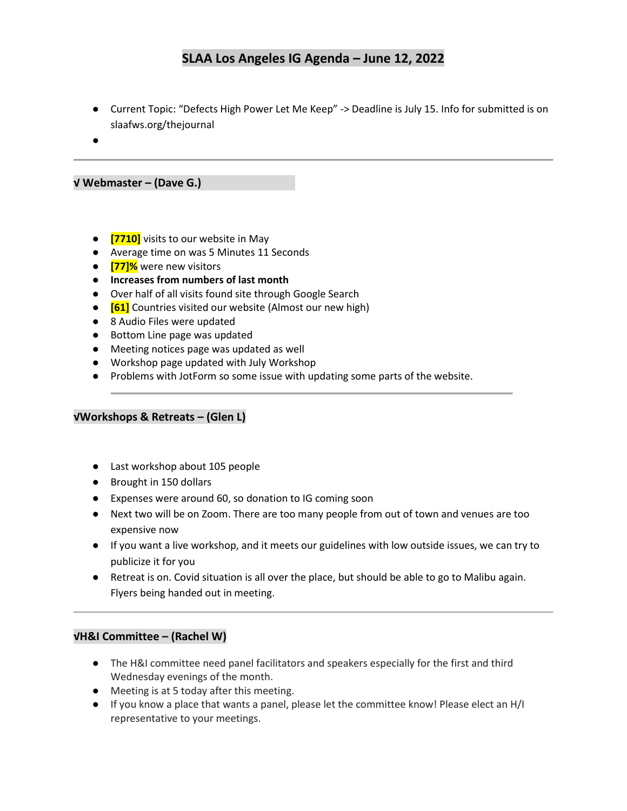- Current Topic: "Defects High Power Let Me Keep" -> Deadline is July 15. Info for submitted is on slaafws.org/thejournal
- ●

**√ Webmaster – (Dave G.)**

- **[7710]** visits to our website in May
- Average time on was 5 Minutes 11 Seconds
- **[77]%** were new visitors
- **Increases from numbers of last month**
- Over half of all visits found site through Google Search
- **[61]** Countries visited our website (Almost our new high)
- 8 Audio Files were updated
- Bottom Line page was updated
- Meeting notices page was updated as well
- Workshop page updated with July Workshop
- Problems with JotForm so some issue with updating some parts of the website.

#### **√Workshops & Retreats – (Glen L)**

- Last workshop about 105 people
- Brought in 150 dollars
- Expenses were around 60, so donation to IG coming soon
- Next two will be on Zoom. There are too many people from out of town and venues are too expensive now
- If you want a live workshop, and it meets our guidelines with low outside issues, we can try to publicize it for you
- Retreat is on. Covid situation is all over the place, but should be able to go to Malibu again. Flyers being handed out in meeting.

#### **√H&I Committee – (Rachel W)**

- The H&I committee need panel facilitators and speakers especially for the first and third Wednesday evenings of the month.
- Meeting is at 5 today after this meeting.
- If you know a place that wants a panel, please let the committee know! Please elect an H/I representative to your meetings.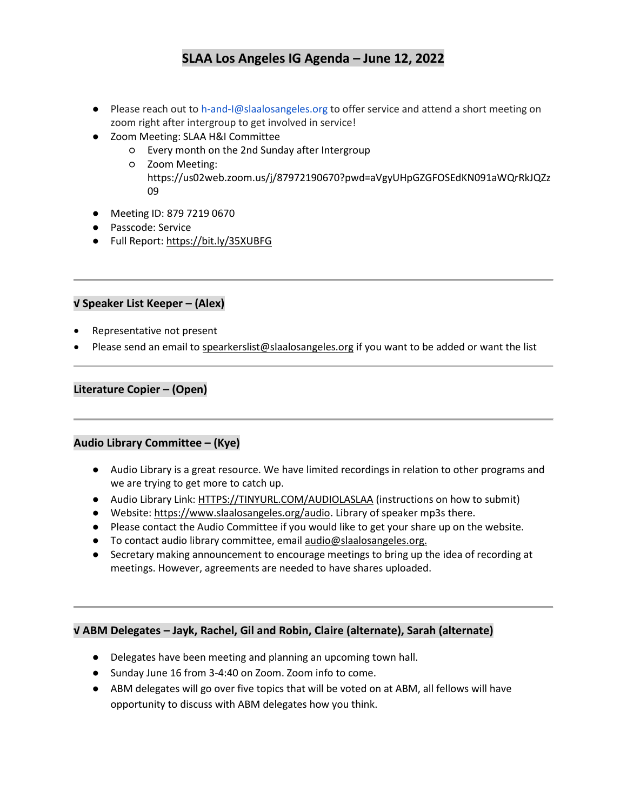- Please reach out to h-and-I@slaalosangeles.org to offer service and attend a short meeting on zoom right after intergroup to get involved in service!
- Zoom Meeting: SLAA H&I Committee
	- Every month on the 2nd Sunday after Intergroup
	- Zoom Meeting: https://us02web.zoom.us/j/87972190670?pwd=aVgyUHpGZGFOSEdKN091aWQrRkJQZz 09
- Meeting ID: 879 7219 0670
- Passcode: Service
- Full Report:<https://bit.ly/35XUBFG>

#### **√ Speaker List Keeper – (Alex)**

- Representative not present
- Please send an email t[o spearkerslist@slaalosangeles.org](mailto:spearkerslist@slaalosangeles.org) if you want to be added or want the list

## **Literature Copier – (Open)**

## **Audio Library Committee – (Kye)**

- Audio Library is a great resource. We have limited recordings in relation to other programs and we are trying to get more to catch up.
- Audio Library Link: [HTTPS://TINYURL.COM/AUDIOLASLAA](https://tinyurl.com/AUDIOLASLAA) (instructions on how to submit)
- Website[: https://www.slaalosangeles.org/audio.](https://www.slaalosangeles.org/audio) Library of speaker mp3s there.
- Please contact the Audio Committee if you would like to get your share up on the website.
- To contact audio library committee, emai[l audio@slaalosangeles.org.](mailto:audio@slaalosangeles.org)
- Secretary making announcement to encourage meetings to bring up the idea of recording at meetings. However, agreements are needed to have shares uploaded.

## **√ ABM Delegates – Jayk, Rachel, Gil and Robin, Claire (alternate), Sarah (alternate)**

- Delegates have been meeting and planning an upcoming town hall.
- Sunday June 16 from 3-4:40 on Zoom. Zoom info to come.
- ABM delegates will go over five topics that will be voted on at ABM, all fellows will have opportunity to discuss with ABM delegates how you think.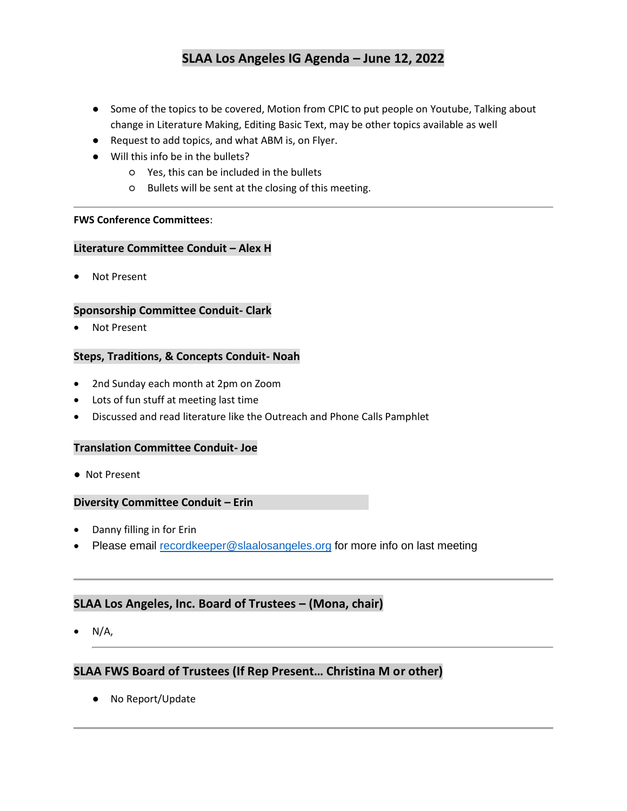- Some of the topics to be covered, Motion from CPIC to put people on Youtube, Talking about change in Literature Making, Editing Basic Text, may be other topics available as well
- Request to add topics, and what ABM is, on Flyer.
- Will this info be in the bullets?
	- Yes, this can be included in the bullets
	- Bullets will be sent at the closing of this meeting.

#### **FWS Conference Committees**:

#### **Literature Committee Conduit – Alex H**

**Not Present** 

#### **Sponsorship Committee Conduit- Clark**

Not Present

#### **Steps, Traditions, & Concepts Conduit- Noah**

- 2nd Sunday each month at 2pm on Zoom
- Lots of fun stuff at meeting last time
- Discussed and read literature like the Outreach and Phone Calls Pamphlet

#### **Translation Committee Conduit- Joe**

● Not Present

#### **Diversity Committee Conduit – Erin**

- Danny filling in for Erin
- Please email [recordkeeper@slaalosangeles.org](mailto:recordkeeper@slaalosangeles.org) for more info on last meeting

## **SLAA Los Angeles, Inc. Board of Trustees – (Mona, chair)**

 $N/A$ ,

## **SLAA FWS Board of Trustees (If Rep Present… Christina M or other)**

● No Report/Update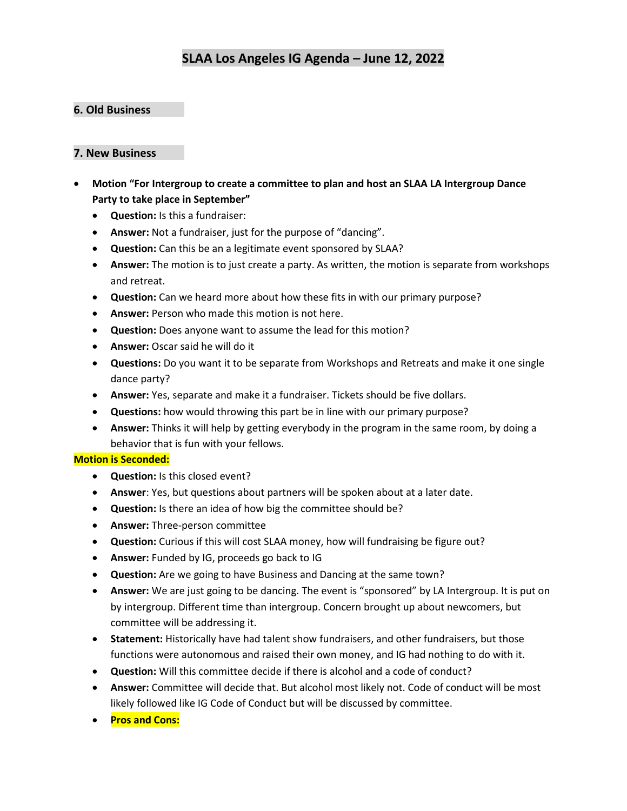## **6. Old Business**

## **7. New Business**

- **Motion "For Intergroup to create a committee to plan and host an SLAA LA Intergroup Dance Party to take place in September"**
	- **Question:** Is this a fundraiser:
	- **Answer:** Not a fundraiser, just for the purpose of "dancing".
	- **Question:** Can this be an a legitimate event sponsored by SLAA?
	- **Answer:** The motion is to just create a party. As written, the motion is separate from workshops and retreat.
	- **Question:** Can we heard more about how these fits in with our primary purpose?
	- **Answer:** Person who made this motion is not here.
	- **Question:** Does anyone want to assume the lead for this motion?
	- **Answer:** Oscar said he will do it
	- **Questions:** Do you want it to be separate from Workshops and Retreats and make it one single dance party?
	- **Answer:** Yes, separate and make it a fundraiser. Tickets should be five dollars.
	- **Questions:** how would throwing this part be in line with our primary purpose?
	- **Answer:** Thinks it will help by getting everybody in the program in the same room, by doing a behavior that is fun with your fellows.

#### **Motion is Seconded:**

- **Question:** Is this closed event?
- **Answer**: Yes, but questions about partners will be spoken about at a later date.
- **Question:** Is there an idea of how big the committee should be?
- **Answer:** Three-person committee
- **Question:** Curious if this will cost SLAA money, how will fundraising be figure out?
- **Answer:** Funded by IG, proceeds go back to IG
- **Question:** Are we going to have Business and Dancing at the same town?
- **Answer:** We are just going to be dancing. The event is "sponsored" by LA Intergroup. It is put on by intergroup. Different time than intergroup. Concern brought up about newcomers, but committee will be addressing it.
- **Statement:** Historically have had talent show fundraisers, and other fundraisers, but those functions were autonomous and raised their own money, and IG had nothing to do with it.
- **Question:** Will this committee decide if there is alcohol and a code of conduct?
- **Answer:** Committee will decide that. But alcohol most likely not. Code of conduct will be most likely followed like IG Code of Conduct but will be discussed by committee.
- **Pros and Cons:**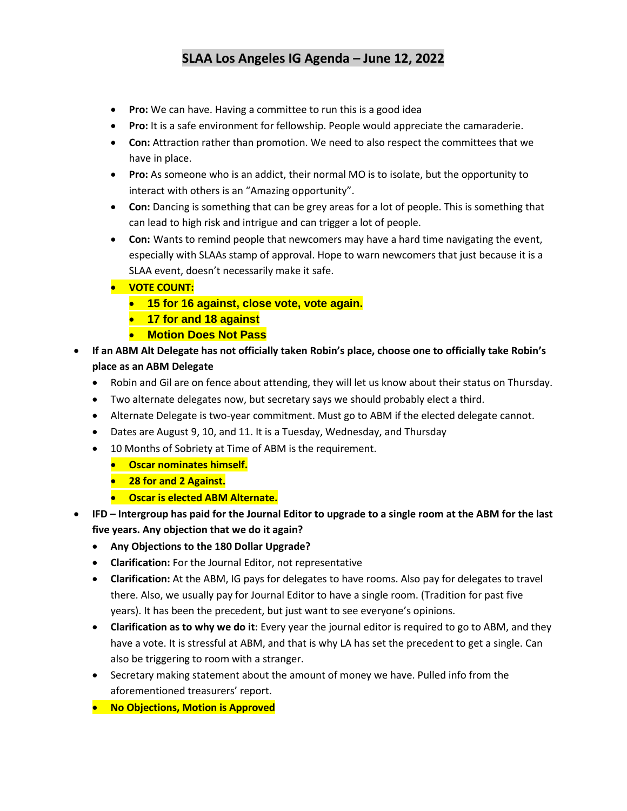- **Pro:** We can have. Having a committee to run this is a good idea
- **Pro:** It is a safe environment for fellowship. People would appreciate the camaraderie.
- **Con:** Attraction rather than promotion. We need to also respect the committees that we have in place.
- **Pro:** As someone who is an addict, their normal MO is to isolate, but the opportunity to interact with others is an "Amazing opportunity".
- **Con:** Dancing is something that can be grey areas for a lot of people. This is something that can lead to high risk and intrigue and can trigger a lot of people.
- **Con:** Wants to remind people that newcomers may have a hard time navigating the event, especially with SLAAs stamp of approval. Hope to warn newcomers that just because it is a SLAA event, doesn't necessarily make it safe.
- **VOTE COUNT:**
	- **15 for 16 against, close vote, vote again.**
	- **17 for and 18 against**
	- **Motion Does Not Pass**
- **If an ABM Alt Delegate has not officially taken Robin's place, choose one to officially take Robin's place as an ABM Delegate**
	- Robin and Gil are on fence about attending, they will let us know about their status on Thursday.
	- Two alternate delegates now, but secretary says we should probably elect a third.
	- Alternate Delegate is two-year commitment. Must go to ABM if the elected delegate cannot.
	- Dates are August 9, 10, and 11. It is a Tuesday, Wednesday, and Thursday
	- 10 Months of Sobriety at Time of ABM is the requirement.
		- **Oscar nominates himself.**
		- **28 for and 2 Against.**
		- **Oscar is elected ABM Alternate.**
- **IFD – Intergroup has paid for the Journal Editor to upgrade to a single room at the ABM for the last five years. Any objection that we do it again?**
	- **Any Objections to the 180 Dollar Upgrade?**
	- **Clarification:** For the Journal Editor, not representative
	- **Clarification:** At the ABM, IG pays for delegates to have rooms. Also pay for delegates to travel there. Also, we usually pay for Journal Editor to have a single room. (Tradition for past five years). It has been the precedent, but just want to see everyone's opinions.
	- **Clarification as to why we do it**: Every year the journal editor is required to go to ABM, and they have a vote. It is stressful at ABM, and that is why LA has set the precedent to get a single. Can also be triggering to room with a stranger.
	- Secretary making statement about the amount of money we have. Pulled info from the aforementioned treasurers' report.
	- **No Objections, Motion is Approved**